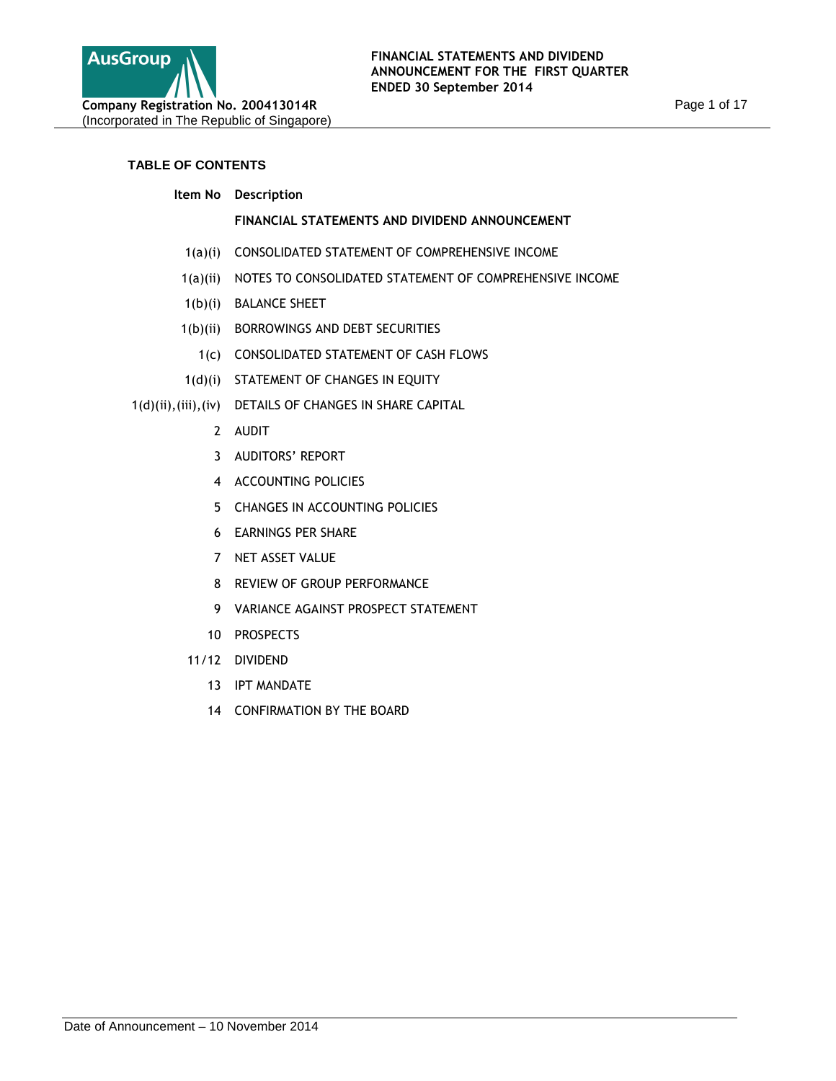

# **TABLE OF CONTENTS**

**Item No Description**

# **FINANCIAL STATEMENTS AND DIVIDEND ANNOUNCEMENT**

- 1(a)(i) CONSOLIDATED STATEMENT OF COMPREHENSIVE INCOME
- 1(a)(ii) NOTES TO CONSOLIDATED STATEMENT OF COMPREHENSIVE INCOME
- 1(b)(i) BALANCE SHEET
- 1(b)(ii) BORROWINGS AND DEBT SECURITIES
	- 1(c) CONSOLIDATED STATEMENT OF CASH FLOWS
- 1(d)(i) STATEMENT OF CHANGES IN EQUITY
- 1(d)(ii),(iii),(iv) DETAILS OF CHANGES IN SHARE CAPITAL
	- 2 AUDIT
	- 3 AUDITORS' REPORT
	- 4 ACCOUNTING POLICIES
	- 5 CHANGES IN ACCOUNTING POLICIES
	- 6 EARNINGS PER SHARE
	- 7 NET ASSET VALUE
	- 8 REVIEW OF GROUP PERFORMANCE
	- 9 VARIANCE AGAINST PROSPECT STATEMENT
	- 10 PROSPECTS
	- 11/12 DIVIDEND
		- 13 IPT MANDATE
		- 14 CONFIRMATION BY THE BOARD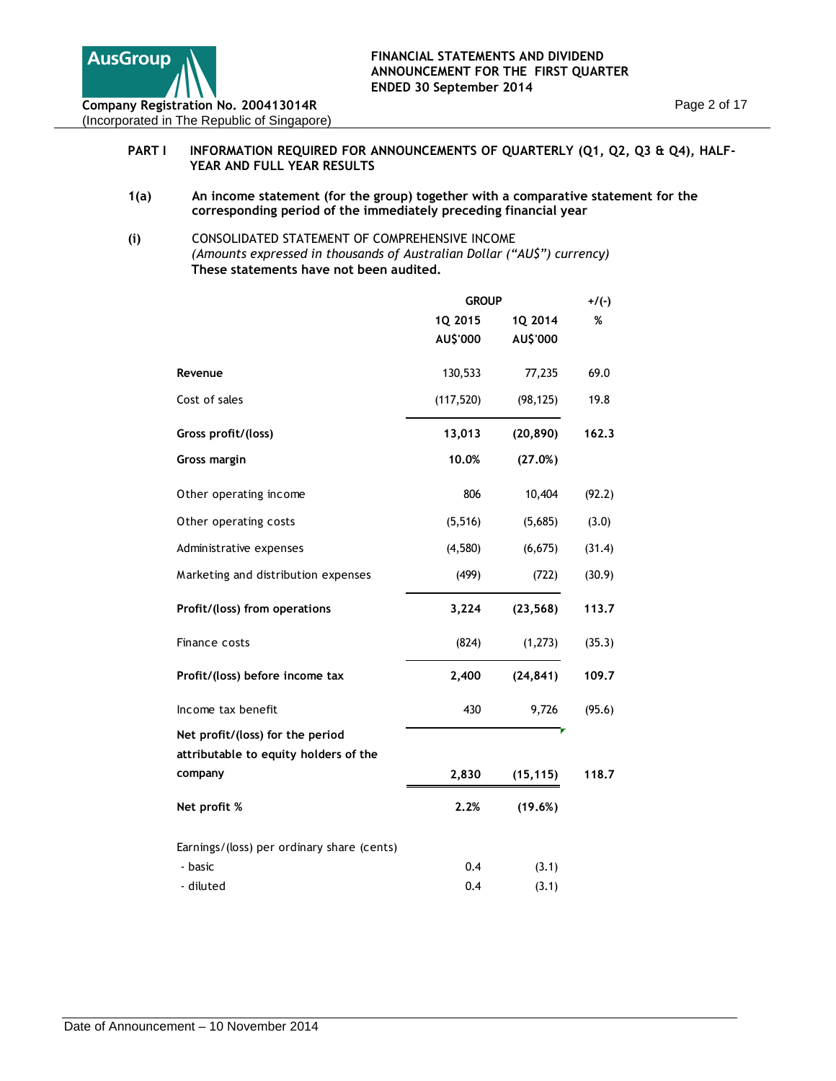

# PART I INFORMATION REQUIRED FOR ANNOUNCEMENTS OF QUARTERLY (Q1, Q2, Q3 & Q4), HALF-**YEAR AND FULL YEAR RESULTS**

- **1(a) An income statement (for the group) together with a comparative statement for the corresponding period of the immediately preceding financial year**
- **(i)** CONSOLIDATED STATEMENT OF COMPREHENSIVE INCOME *(Amounts expressed in thousands of Australian Dollar ("AU\$") currency)*  **These statements have not been audited.**

|                                                                           | <b>GROUP</b> | $+/(-)$   |        |
|---------------------------------------------------------------------------|--------------|-----------|--------|
|                                                                           | 1Q 2015      | 1Q 2014   | %      |
|                                                                           | AU\$'000     | AU\$'000  |        |
| Revenue                                                                   | 130,533      | 77,235    | 69.0   |
| Cost of sales                                                             | (117, 520)   | (98, 125) | 19.8   |
| Gross profit/(loss)                                                       | 13,013       | (20, 890) | 162.3  |
| Gross margin                                                              | 10.0%        | (27.0%)   |        |
| Other operating income                                                    | 806          | 10,404    | (92.2) |
| Other operating costs                                                     | (5, 516)     | (5,685)   | (3.0)  |
| Administrative expenses                                                   | (4,580)      | (6, 675)  | (31.4) |
| Marketing and distribution expenses                                       | (499)        | (722)     | (30.9) |
| Profit/(loss) from operations                                             | 3,224        | (23, 568) | 113.7  |
| Finance costs                                                             | (824)        | (1, 273)  | (35.3) |
| Profit/(loss) before income tax                                           | 2,400        | (24, 841) | 109.7  |
| Income tax benefit                                                        | 430          | 9,726     | (95.6) |
| Net profit/(loss) for the period<br>attributable to equity holders of the |              |           |        |
| company                                                                   | 2,830        | (15, 115) | 118.7  |
| Net profit %                                                              | 2.2%         | (19.6%)   |        |
| Earnings/(loss) per ordinary share (cents)                                |              |           |        |
| - basic                                                                   | 0.4          | (3.1)     |        |
| - diluted                                                                 | 0.4          | (3.1)     |        |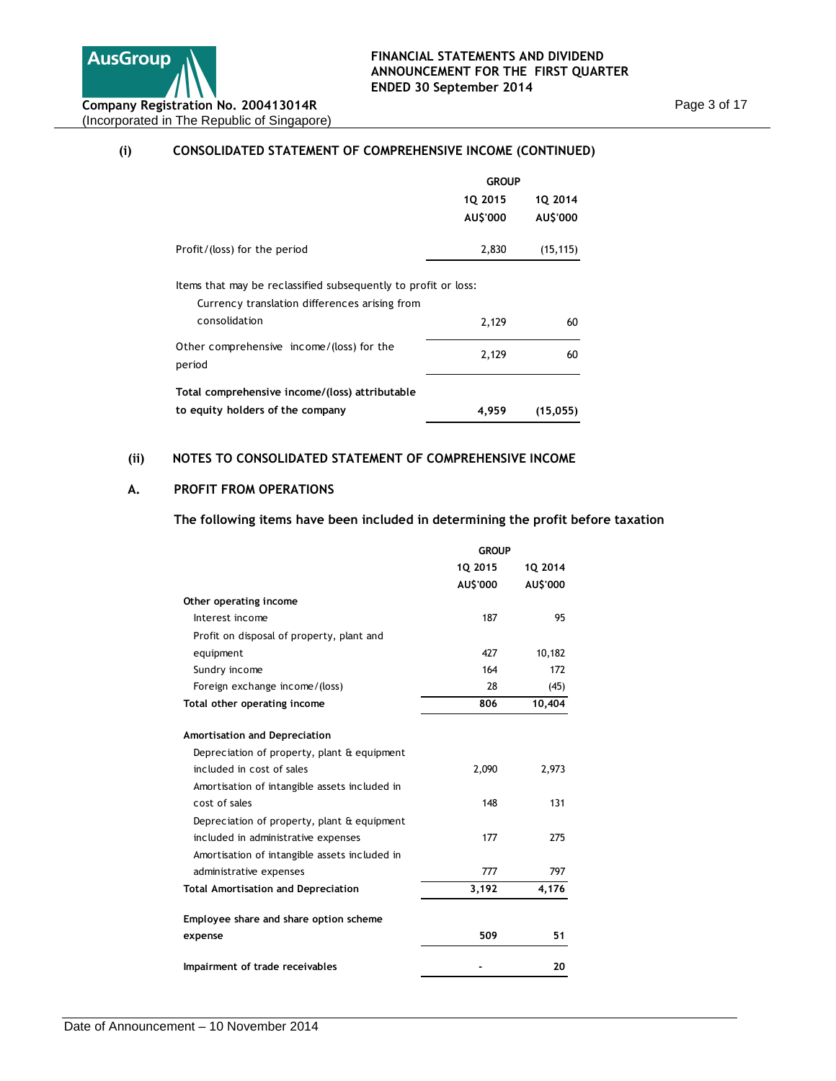

# **(i) CONSOLIDATED STATEMENT OF COMPREHENSIVE INCOME (CONTINUED)**

|                                                                                                                 | <b>GROUP</b> |           |  |
|-----------------------------------------------------------------------------------------------------------------|--------------|-----------|--|
|                                                                                                                 | 10 2015      | 10 2014   |  |
|                                                                                                                 | AU\$'000     | AU\$'000  |  |
| Profit/(loss) for the period                                                                                    | 2,830        | (15, 115) |  |
| Items that may be reclassified subsequently to profit or loss:<br>Currency translation differences arising from |              |           |  |
| consolidation                                                                                                   | 2,129        | 60        |  |
| Other comprehensive income/(loss) for the<br>period                                                             | 2,129        | 60        |  |
| Total comprehensive income/(loss) attributable<br>to equity holders of the company                              | 4,959        | (15, 055) |  |
|                                                                                                                 |              |           |  |

# **(ii) NOTES TO CONSOLIDATED STATEMENT OF COMPREHENSIVE INCOME**

# **A. PROFIT FROM OPERATIONS**

# **The following items have been included in determining the profit before taxation**

|                                               | <b>GROUP</b> |          |
|-----------------------------------------------|--------------|----------|
|                                               | 1Q 2015      | 10 2014  |
|                                               | AU\$'000     | AU\$'000 |
| Other operating income                        |              |          |
| Interest income                               | 187          | 95       |
| Profit on disposal of property, plant and     |              |          |
| equipment                                     | 427          | 10,182   |
| Sundry income                                 | 164          | 172      |
| Foreign exchange income/(loss)                | 28           | (45)     |
| Total other operating income                  | 806          | 10,404   |
|                                               |              |          |
| Amortisation and Depreciation                 |              |          |
| Depreciation of property, plant & equipment   |              |          |
| included in cost of sales                     | 2,090        | 2,973    |
| Amortisation of intangible assets included in |              |          |
| cost of sales                                 | 148          | 131      |
| Depreciation of property, plant & equipment   |              |          |
| included in administrative expenses           | 177          | 275      |
| Amortisation of intangible assets included in |              |          |
| administrative expenses                       | 777          | 797      |
| <b>Total Amortisation and Depreciation</b>    | 3,192        | 4,176    |
| Employee share and share option scheme        |              |          |
|                                               | 509          | 51       |
| expense                                       |              |          |
| Impairment of trade receivables               |              | 20       |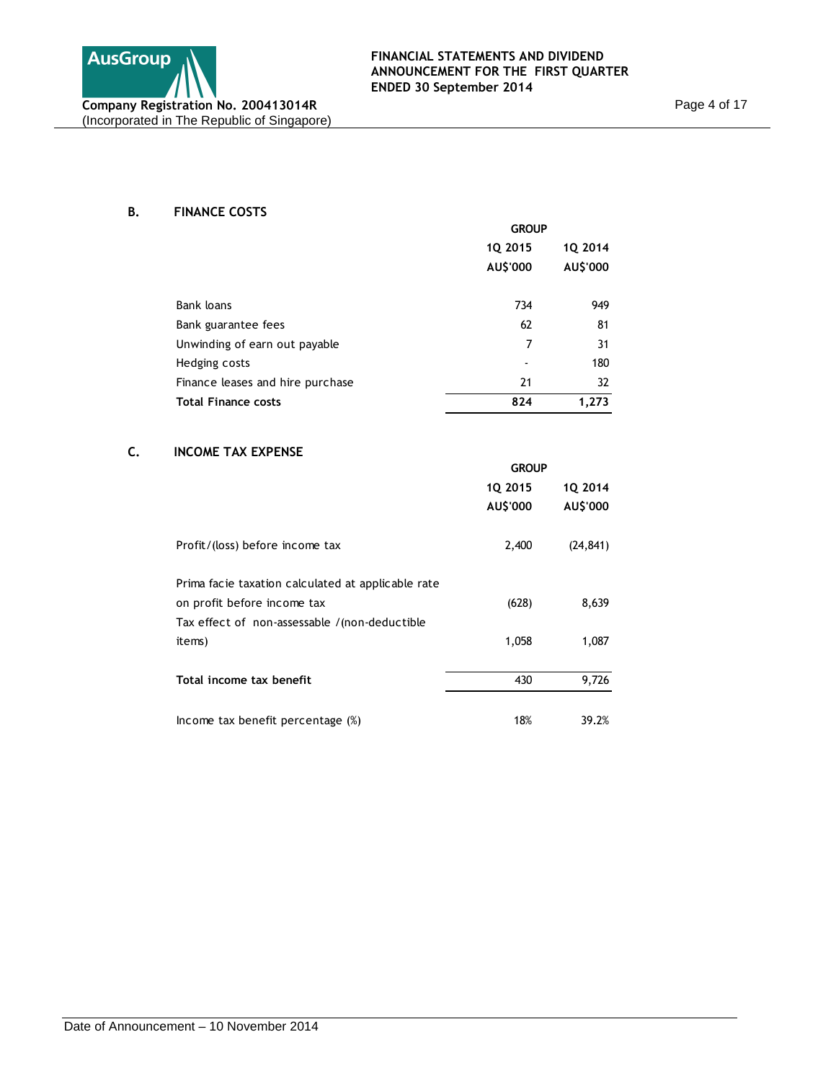Page 4 of 17

# **B. FINANCE COSTS**

|                                  | <b>GROUP</b> |          |  |
|----------------------------------|--------------|----------|--|
|                                  | 10 2015      | 10 2014  |  |
|                                  | AU\$'000     | AU\$'000 |  |
| Bank loans                       | 734          | 949      |  |
| Bank guarantee fees              | 62           | 81       |  |
| Unwinding of earn out payable    | 7            | 31       |  |
| Hedging costs                    |              | 180      |  |
| Finance leases and hire purchase | 21           | 32       |  |
| Total Finance costs              | 824          | 1,273    |  |
|                                  |              |          |  |

# **C. INCOME TAX EXPENSE**

|                                                    | <b>GROUP</b> |           |  |
|----------------------------------------------------|--------------|-----------|--|
|                                                    | 10 2015      | 10 2014   |  |
|                                                    | AU\$'000     | AU\$'000  |  |
| Profit/(loss) before income tax                    | 2,400        | (24, 841) |  |
| Prima facie taxation calculated at applicable rate |              |           |  |
| on profit before income tax                        | (628)        | 8,639     |  |
| Tax effect of non-assessable /(non-deductible      |              |           |  |
| items)                                             | 1,058        | 1,087     |  |
| Total income tax benefit                           | 430          | 9,726     |  |
| Income tax benefit percentage (%)                  | 18%          | 39.2%     |  |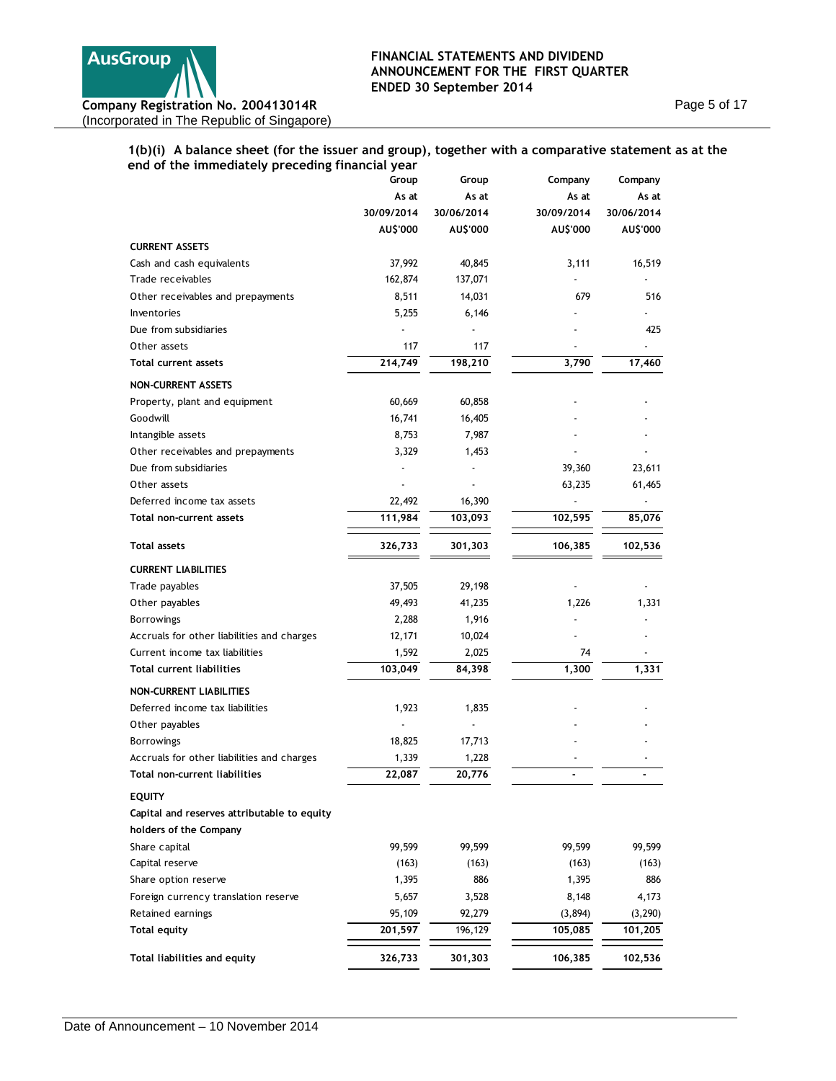

Page 5 of 17

## **1(b)(i) A balance sheet (for the issuer and group), together with a comparative statement as at the end of the immediately preceding financial year**

| end or the immediately preceding imancial year |            |            |            |            |
|------------------------------------------------|------------|------------|------------|------------|
|                                                | Group      | Group      | Company    | Company    |
|                                                | As at      | As at      | As at      | As at      |
|                                                | 30/09/2014 | 30/06/2014 | 30/09/2014 | 30/06/2014 |
|                                                | AU\$'000   | AU\$'000   | AU\$'000   | AU\$'000   |
| <b>CURRENT ASSETS</b>                          |            |            |            |            |
| Cash and cash equivalents                      | 37,992     | 40,845     | 3,111      | 16,519     |
| Trade receivables                              | 162,874    | 137,071    |            |            |
| Other receivables and prepayments              | 8,511      | 14,031     | 679        | 516        |
| Inventories                                    | 5,255      | 6,146      |            |            |
| Due from subsidiaries                          |            |            |            | 425        |
| Other assets                                   | 117        | 117        |            |            |
| Total current assets                           | 214,749    | 198,210    | 3,790      | 17,460     |
| <b>NON-CURRENT ASSETS</b>                      |            |            |            |            |
| Property, plant and equipment                  | 60,669     | 60,858     |            |            |
| Goodwill                                       | 16,741     | 16,405     |            |            |
| Intangible assets                              | 8,753      | 7,987      |            |            |
| Other receivables and prepayments              | 3,329      | 1,453      |            |            |
| Due from subsidiaries                          |            |            | 39,360     | 23,611     |
| Other assets                                   |            |            | 63,235     | 61,465     |
| Deferred income tax assets                     | 22,492     | 16,390     |            |            |
| Total non-current assets                       | 111,984    | 103,093    | 102,595    | 85,076     |
| <b>Total assets</b>                            | 326,733    | 301,303    | 106,385    | 102,536    |
| <b>CURRENT LIABILITIES</b>                     |            |            |            |            |
| Trade payables                                 | 37,505     | 29,198     |            |            |
| Other payables                                 | 49,493     | 41,235     | 1,226      | 1,331      |
| <b>Borrowings</b>                              | 2,288      | 1,916      |            |            |
| Accruals for other liabilities and charges     | 12,171     | 10,024     |            |            |
| Current income tax liabilities                 | 1,592      | 2,025      | 74         |            |
| <b>Total current liabilities</b>               | 103,049    | 84,398     | 1,300      | 1,331      |
| NON-CURRENT LIABILITIES                        |            |            |            |            |
| Deferred income tax liabilities                | 1,923      | 1,835      |            |            |
| Other payables                                 |            |            |            |            |
| <b>Borrowings</b>                              | 18,825     | 17,713     |            |            |
| Accruals for other liabilities and charges     | 1,339      | 1,228      |            |            |
| Total non-current liabilities                  | 22,087     | 20,776     |            |            |
| <b>EQUITY</b>                                  |            |            |            |            |
| Capital and reserves attributable to equity    |            |            |            |            |
| holders of the Company                         |            |            |            |            |
| Share capital                                  | 99,599     | 99,599     | 99,599     | 99,599     |
| Capital reserve                                | (163)      | (163)      | (163)      | (163)      |
| Share option reserve                           | 1,395      | 886        | 1,395      | 886        |
| Foreign currency translation reserve           | 5,657      | 3,528      | 8,148      | 4,173      |
| Retained earnings                              | 95,109     | 92,279     | (3,894)    | (3, 290)   |
| <b>Total equity</b>                            | 201,597    | 196,129    | 105,085    | 101,205    |
| Total liabilities and equity                   | 326,733    | 301,303    | 106,385    | 102,536    |
|                                                |            |            |            |            |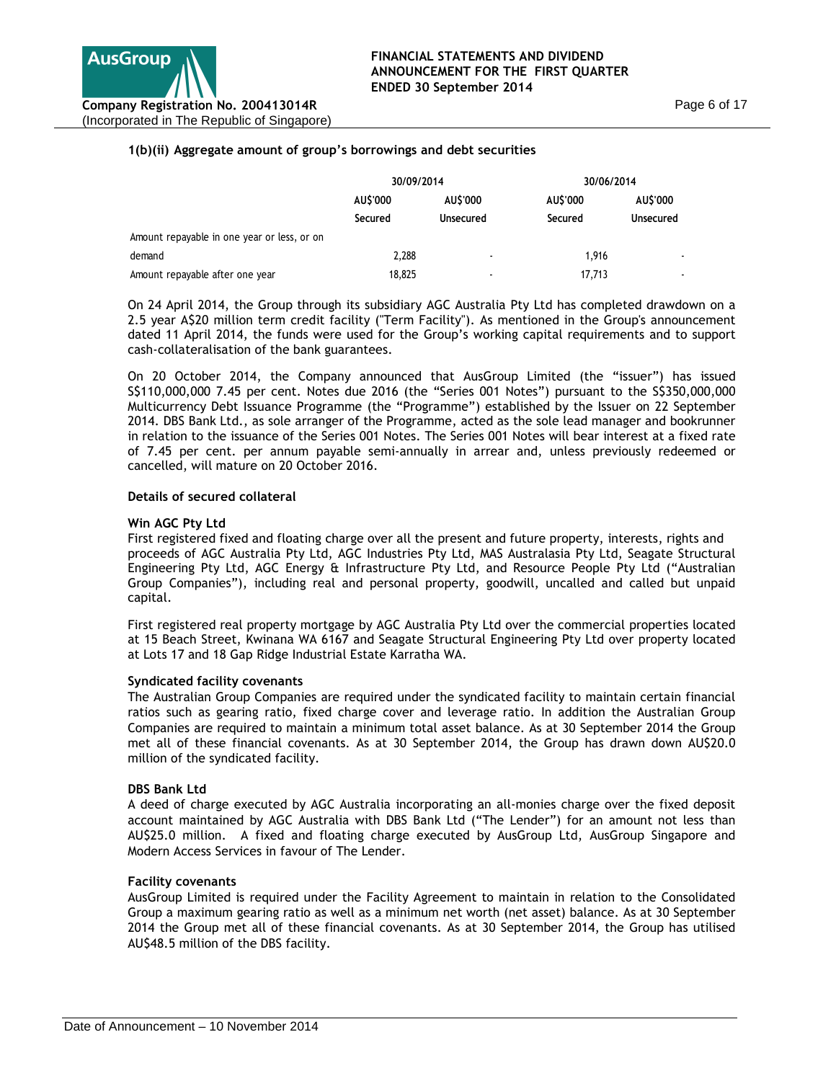# **1(b)(ii) Aggregate amount of group's borrowings and debt securities**

|                                             | 30/09/2014 |                          | 30/06/2014 |           |  |  |
|---------------------------------------------|------------|--------------------------|------------|-----------|--|--|
|                                             | AU\$'000   | AU\$'000                 | AU\$'000   | AU\$'000  |  |  |
|                                             | Secured    | Unsecured                | Secured    | Unsecured |  |  |
| Amount repayable in one year or less, or on |            |                          |            |           |  |  |
| demand                                      | 2,288      | ٠                        | 1.916      | ۰         |  |  |
| Amount repayable after one year             | 18,825     | $\overline{\phantom{a}}$ | 17.713     | ۰.        |  |  |

On 24 April 2014, the Group through its subsidiary AGC Australia Pty Ltd has completed drawdown on a 2.5 year A\$20 million term credit facility ("Term Facility"). As mentioned in the Group's announcement dated 11 April 2014, the funds were used for the Group's working capital requirements and to support cash-collateralisation of the bank guarantees.

On 20 October 2014, the Company announced that AusGroup Limited (the "issuer") has issued S\$110,000,000 7.45 per cent. Notes due 2016 (the "Series 001 Notes") pursuant to the S\$350,000,000 Multicurrency Debt Issuance Programme (the "Programme") established by the Issuer on 22 September 2014. DBS Bank Ltd., as sole arranger of the Programme, acted as the sole lead manager and bookrunner in relation to the issuance of the Series 001 Notes. The Series 001 Notes will bear interest at a fixed rate of 7.45 per cent. per annum payable semi-annually in arrear and, unless previously redeemed or cancelled, will mature on 20 October 2016.

#### **Details of secured collateral**

## **Win AGC Pty Ltd**

First registered fixed and floating charge over all the present and future property, interests, rights and proceeds of AGC Australia Pty Ltd, AGC Industries Pty Ltd, MAS Australasia Pty Ltd, Seagate Structural Engineering Pty Ltd, AGC Energy & Infrastructure Pty Ltd, and Resource People Pty Ltd ("Australian Group Companies"), including real and personal property, goodwill, uncalled and called but unpaid capital.

First registered real property mortgage by AGC Australia Pty Ltd over the commercial properties located at 15 Beach Street, Kwinana WA 6167 and Seagate Structural Engineering Pty Ltd over property located at Lots 17 and 18 Gap Ridge Industrial Estate Karratha WA.

# **Syndicated facility covenants**

The Australian Group Companies are required under the syndicated facility to maintain certain financial ratios such as gearing ratio, fixed charge cover and leverage ratio. In addition the Australian Group Companies are required to maintain a minimum total asset balance. As at 30 September 2014 the Group met all of these financial covenants. As at 30 September 2014, the Group has drawn down AU\$20.0 million of the syndicated facility.

### **DBS Bank Ltd**

A deed of charge executed by AGC Australia incorporating an all-monies charge over the fixed deposit account maintained by AGC Australia with DBS Bank Ltd ("The Lender") for an amount not less than AU\$25.0 million. A fixed and floating charge executed by AusGroup Ltd, AusGroup Singapore and Modern Access Services in favour of The Lender.

# **Facility covenants**

AusGroup Limited is required under the Facility Agreement to maintain in relation to the Consolidated Group a maximum gearing ratio as well as a minimum net worth (net asset) balance. As at 30 September 2014 the Group met all of these financial covenants. As at 30 September 2014, the Group has utilised AU\$48.5 million of the DBS facility.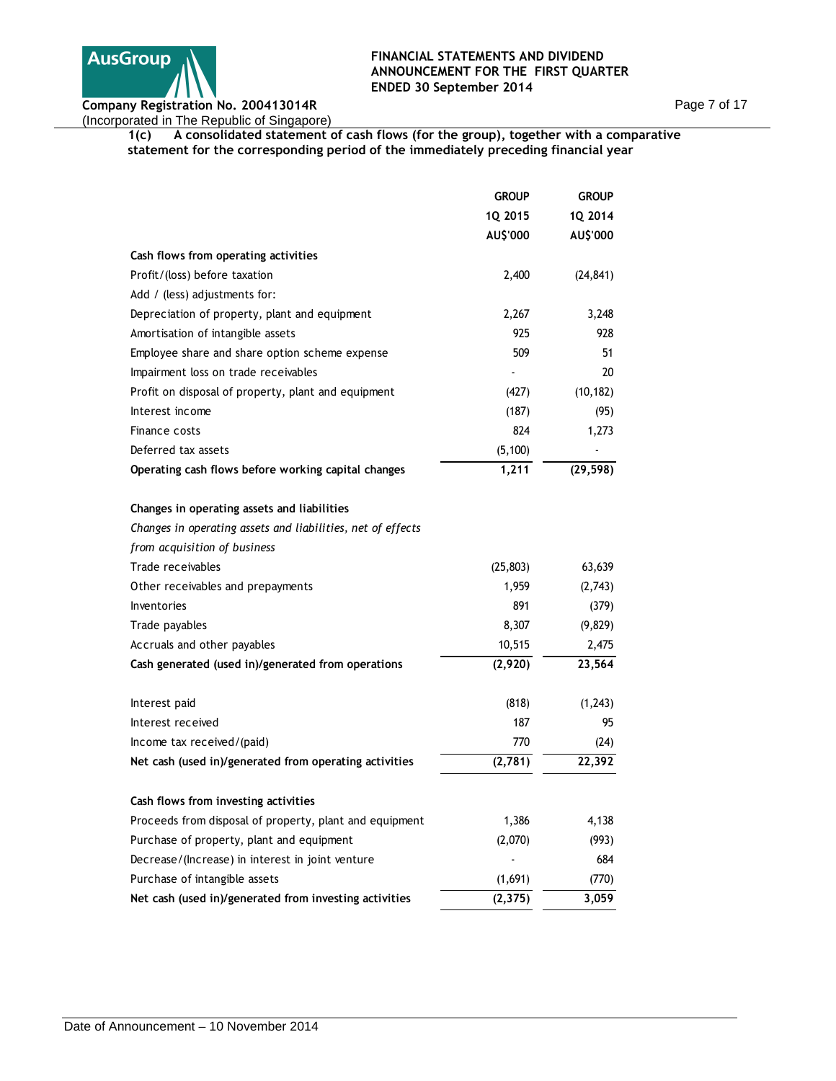

(Incorporated in The Republic of Singapore)

Page 7 of 17

**1(c) A consolidated statement of cash flows (for the group), together with a comparative statement for the corresponding period of the immediately preceding financial year**

|                                                             | <b>GROUP</b><br><b>GROUP</b> |
|-------------------------------------------------------------|------------------------------|
| 1Q 2015                                                     | 1Q 2014                      |
| AU\$'000                                                    | AU\$'000                     |
| Cash flows from operating activities                        |                              |
| Profit/(loss) before taxation                               | 2,400<br>(24, 841)           |
| Add / (less) adjustments for:                               |                              |
| Depreciation of property, plant and equipment               | 2,267<br>3,248               |
| Amortisation of intangible assets                           | 925<br>928                   |
| Employee share and share option scheme expense              | 509<br>51                    |
| Impairment loss on trade receivables                        | 20                           |
| Profit on disposal of property, plant and equipment         | (427)<br>(10, 182)           |
| Interest income                                             | (187)<br>(95)                |
| Finance costs                                               | 824<br>1,273                 |
| Deferred tax assets                                         | (5, 100)                     |
| Operating cash flows before working capital changes         | 1,211<br>(29, 598)           |
|                                                             |                              |
| Changes in operating assets and liabilities                 |                              |
| Changes in operating assets and liabilities, net of effects |                              |
| from acquisition of business                                |                              |
| Trade receivables                                           | (25, 803)<br>63,639          |
| Other receivables and prepayments                           | 1,959<br>(2,743)             |
| Inventories                                                 | 891<br>(379)                 |
| Trade payables                                              | 8,307<br>(9,829)             |
| Accruals and other payables                                 | 10,515<br>2,475              |
| Cash generated (used in)/generated from operations          | 23,564<br>(2,920)            |
| Interest paid                                               | (818)<br>(1,243)             |
| Interest received                                           | 187<br>95                    |
| Income tax received/(paid)                                  | 770<br>(24)                  |
| Net cash (used in)/generated from operating activities      | 22,392<br>(2,781)            |
| Cash flows from investing activities                        |                              |
| Proceeds from disposal of property, plant and equipment     | 1,386<br>4,138               |
| Purchase of property, plant and equipment                   | (2,070)<br>(993)             |
| Decrease/(Increase) in interest in joint venture            | 684                          |
| Purchase of intangible assets                               | (1,691)<br>(770)             |
| Net cash (used in)/generated from investing activities      | (2, 375)<br>3,059            |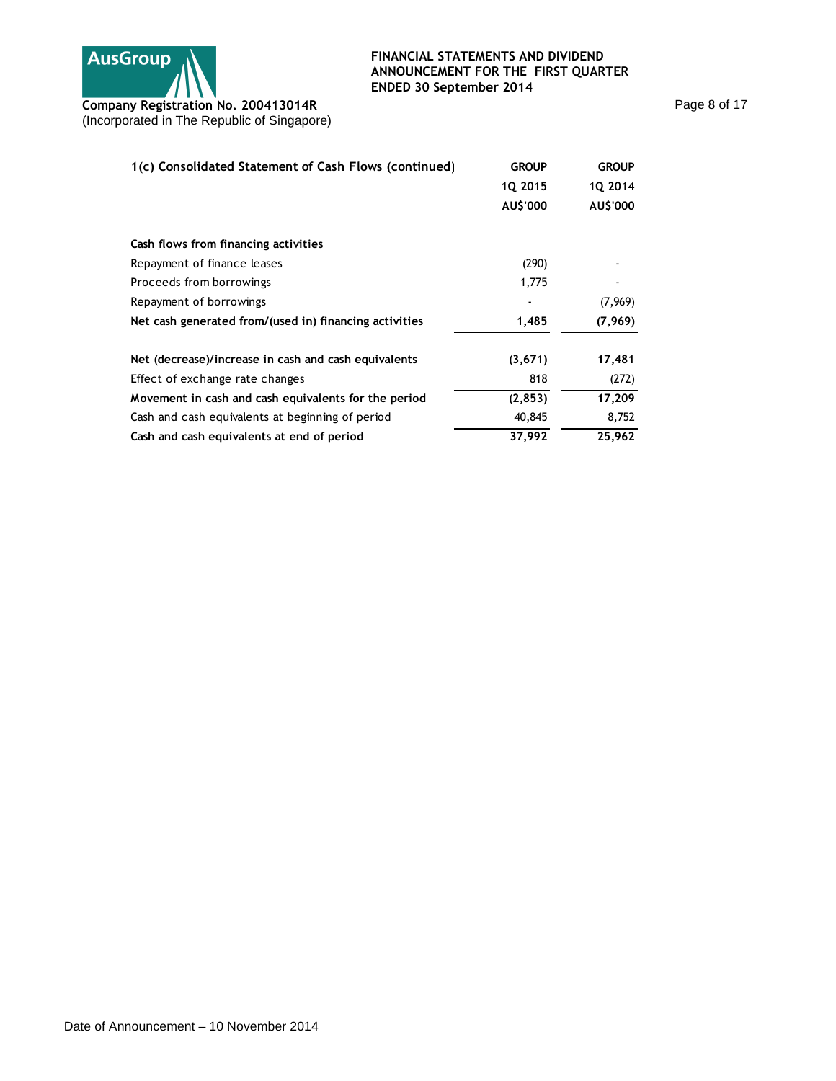

| 1(c) Consolidated Statement of Cash Flows (continued)  | <b>GROUP</b><br>1Q 2015<br>AU\$'000 | <b>GROUP</b><br>1Q 2014<br>AU\$'000 |
|--------------------------------------------------------|-------------------------------------|-------------------------------------|
| Cash flows from financing activities                   |                                     |                                     |
| Repayment of finance leases                            | (290)                               |                                     |
| Proceeds from borrowings                               | 1,775                               |                                     |
| Repayment of borrowings                                |                                     | (7,969)                             |
| Net cash generated from/(used in) financing activities | 1,485                               | (7,969)                             |
| Net (decrease)/increase in cash and cash equivalents   | (3,671)                             | 17,481                              |
| Effect of exchange rate changes                        | 818                                 | (272)                               |
| Movement in cash and cash equivalents for the period   | (2, 853)                            | 17,209                              |
| Cash and cash equivalents at beginning of period       | 40,845                              | 8,752                               |
| Cash and cash equivalents at end of period             | 37,992                              | 25,962                              |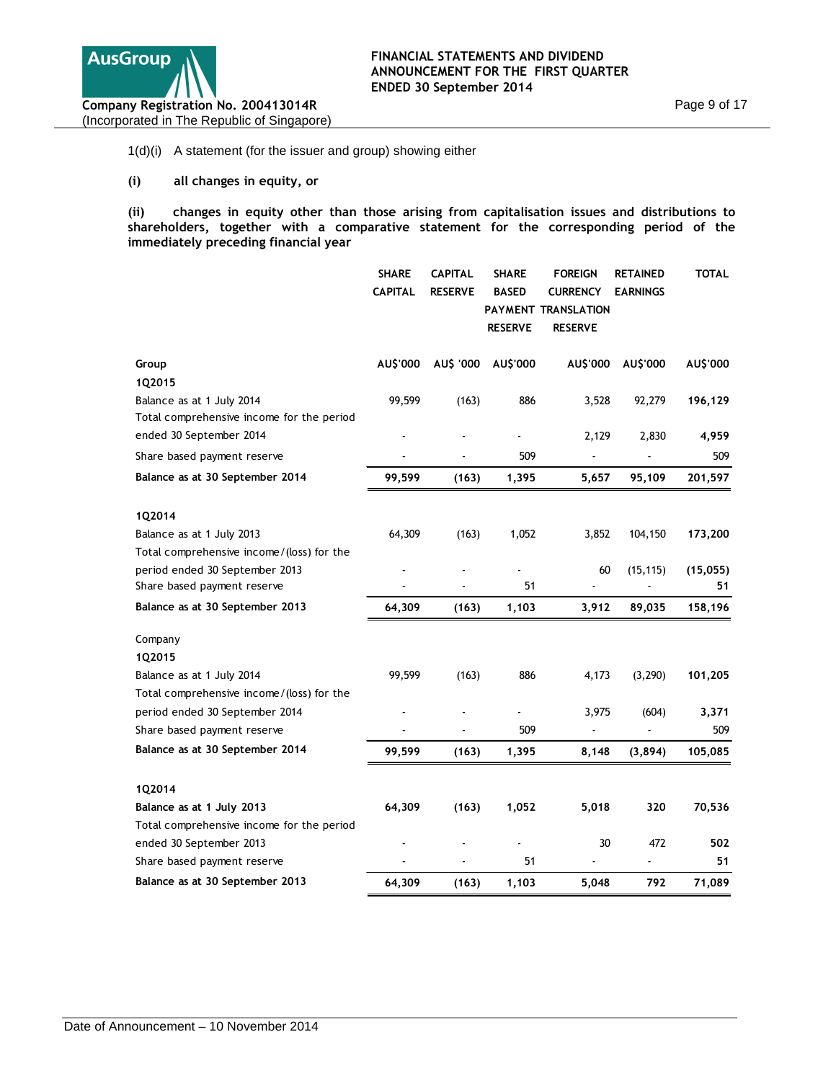

## 1(d)(i) A statement (for the issuer and group) showing either

# **(i) all changes in equity, or**

**(ii) changes in equity other than those arising from capitalisation issues and distributions to shareholders, together with a comparative statement for the corresponding period of the immediately preceding financial year** 

|                                           | <b>SHARE</b><br><b>CAPITAL</b> | <b>CAPITAL</b><br><b>RESERVE</b> | <b>SHARE</b><br><b>BASED</b> | <b>FOREIGN</b><br><b>CURRENCY</b> | <b>RETAINED</b><br><b>EARNINGS</b> | <b>TOTAL</b> |
|-------------------------------------------|--------------------------------|----------------------------------|------------------------------|-----------------------------------|------------------------------------|--------------|
|                                           |                                |                                  |                              | PAYMENT TRANSLATION               |                                    |              |
|                                           |                                |                                  | <b>RESERVE</b>               | <b>RESERVE</b>                    |                                    |              |
| Group                                     | AU\$'000                       | AU\$ '000                        | AU\$'000                     | AU\$'000                          | AU\$'000                           | AU\$'000     |
| 1Q2015                                    |                                |                                  |                              |                                   |                                    |              |
| Balance as at 1 July 2014                 | 99,599                         | (163)                            | 886                          | 3,528                             | 92,279                             | 196,129      |
| Total comprehensive income for the period |                                |                                  |                              |                                   |                                    |              |
| ended 30 September 2014                   |                                |                                  |                              | 2,129                             | 2,830                              | 4,959        |
| Share based payment reserve               |                                |                                  | 509                          | $\blacksquare$                    |                                    | 509          |
| Balance as at 30 September 2014           | 99,599                         | (163)                            | 1,395                        | 5,657                             | 95,109                             | 201,597      |
| 1Q2014                                    |                                |                                  |                              |                                   |                                    |              |
| Balance as at 1 July 2013                 | 64,309                         | (163)                            | 1,052                        | 3,852                             | 104,150                            | 173,200      |
| Total comprehensive income/(loss) for the |                                |                                  |                              |                                   |                                    |              |
| period ended 30 September 2013            |                                |                                  |                              | 60                                | (15, 115)                          | (15,055)     |
| Share based payment reserve               |                                |                                  | 51                           |                                   |                                    | 51           |
| Balance as at 30 September 2013           | 64,309                         | (163)                            | 1,103                        | 3,912                             | 89,035                             | 158,196      |
| Company                                   |                                |                                  |                              |                                   |                                    |              |
| 1Q2015                                    |                                |                                  |                              |                                   |                                    |              |
| Balance as at 1 July 2014                 | 99,599                         | (163)                            | 886                          | 4,173                             | (3,290)                            | 101,205      |
| Total comprehensive income/(loss) for the |                                |                                  |                              |                                   |                                    |              |
| period ended 30 September 2014            |                                |                                  |                              | 3,975                             | (604)                              | 3,371        |
| Share based payment reserve               |                                |                                  | 509                          | Ĭ.                                |                                    | 509          |
| Balance as at 30 September 2014           | 99,599                         | (163)                            | 1,395                        | 8,148                             | (3,894)                            | 105,085      |
| 1Q2014                                    |                                |                                  |                              |                                   |                                    |              |
| Balance as at 1 July 2013                 | 64,309                         | (163)                            | 1,052                        | 5,018                             | 320                                | 70,536       |
| Total comprehensive income for the period |                                |                                  |                              |                                   |                                    |              |
| ended 30 September 2013                   |                                |                                  |                              | 30                                | 472                                | 502          |
| Share based payment reserve               |                                |                                  | 51                           |                                   |                                    | 51           |
| Balance as at 30 September 2013           | 64,309                         | (163)                            | 1,103                        | 5,048                             | 792                                | 71,089       |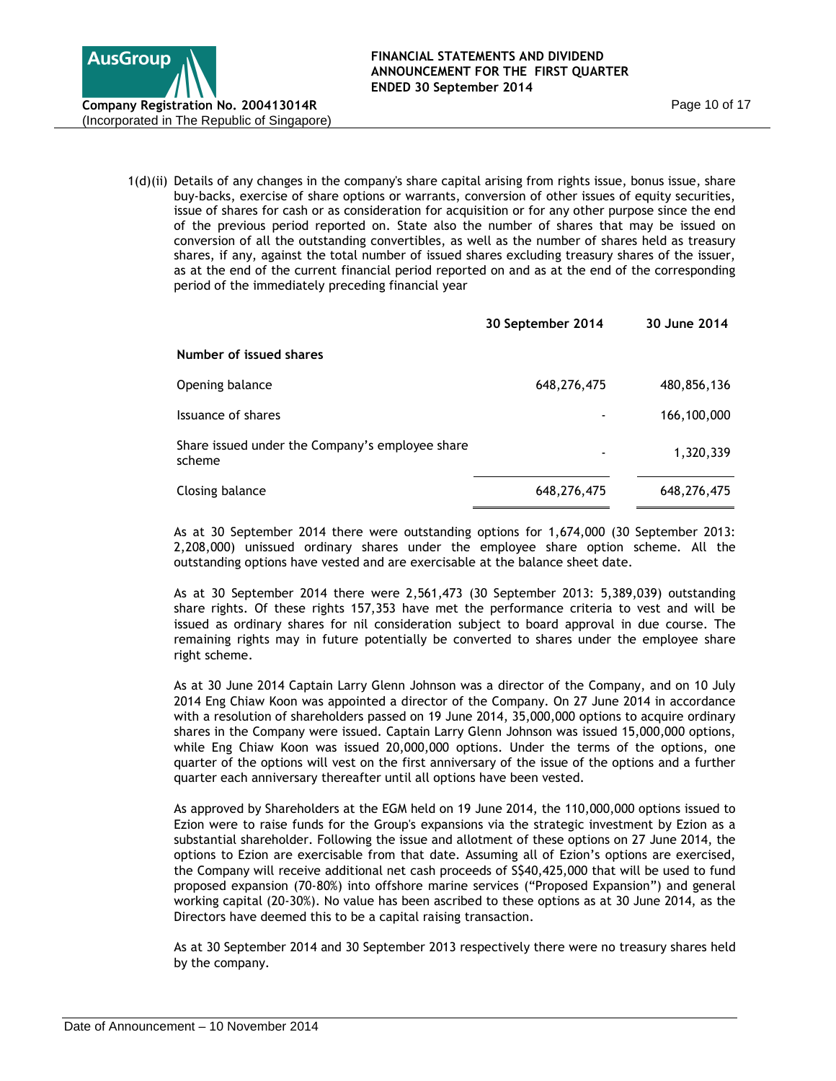

1(d)(ii) Details of any changes in the company's share capital arising from rights issue, bonus issue, share buy-backs, exercise of share options or warrants, conversion of other issues of equity securities, issue of shares for cash or as consideration for acquisition or for any other purpose since the end of the previous period reported on. State also the number of shares that may be issued on conversion of all the outstanding convertibles, as well as the number of shares held as treasury shares, if any, against the total number of issued shares excluding treasury shares of the issuer, as at the end of the current financial period reported on and as at the end of the corresponding period of the immediately preceding financial year

|                                                           | 30 September 2014 | 30 June 2014 |
|-----------------------------------------------------------|-------------------|--------------|
| Number of issued shares                                   |                   |              |
| Opening balance                                           | 648,276,475       | 480,856,136  |
| Issuance of shares                                        |                   | 166,100,000  |
| Share issued under the Company's employee share<br>scheme |                   | 1,320,339    |
| Closing balance                                           | 648,276,475       | 648,276,475  |

 As at 30 September 2014 there were outstanding options for 1,674,000 (30 September 2013: 2,208,000) unissued ordinary shares under the employee share option scheme. All the outstanding options have vested and are exercisable at the balance sheet date.

 As at 30 September 2014 there were 2,561,473 (30 September 2013: 5,389,039) outstanding share rights. Of these rights 157,353 have met the performance criteria to vest and will be issued as ordinary shares for nil consideration subject to board approval in due course. The remaining rights may in future potentially be converted to shares under the employee share right scheme.

 As at 30 June 2014 Captain Larry Glenn Johnson was a director of the Company, and on 10 July 2014 Eng Chiaw Koon was appointed a director of the Company. On 27 June 2014 in accordance with a resolution of shareholders passed on 19 June 2014, 35,000,000 options to acquire ordinary shares in the Company were issued. Captain Larry Glenn Johnson was issued 15,000,000 options, while Eng Chiaw Koon was issued 20,000,000 options. Under the terms of the options, one quarter of the options will vest on the first anniversary of the issue of the options and a further quarter each anniversary thereafter until all options have been vested.

 As approved by Shareholders at the EGM held on 19 June 2014, the 110,000,000 options issued to Ezion were to raise funds for the Group's expansions via the strategic investment by Ezion as a substantial shareholder. Following the issue and allotment of these options on 27 June 2014, the options to Ezion are exercisable from that date. Assuming all of Ezion's options are exercised, the Company will receive additional net cash proceeds of S\$40,425,000 that will be used to fund proposed expansion (70-80%) into offshore marine services ("Proposed Expansion") and general working capital (20-30%). No value has been ascribed to these options as at 30 June 2014, as the Directors have deemed this to be a capital raising transaction.

As at 30 September 2014 and 30 September 2013 respectively there were no treasury shares held by the company.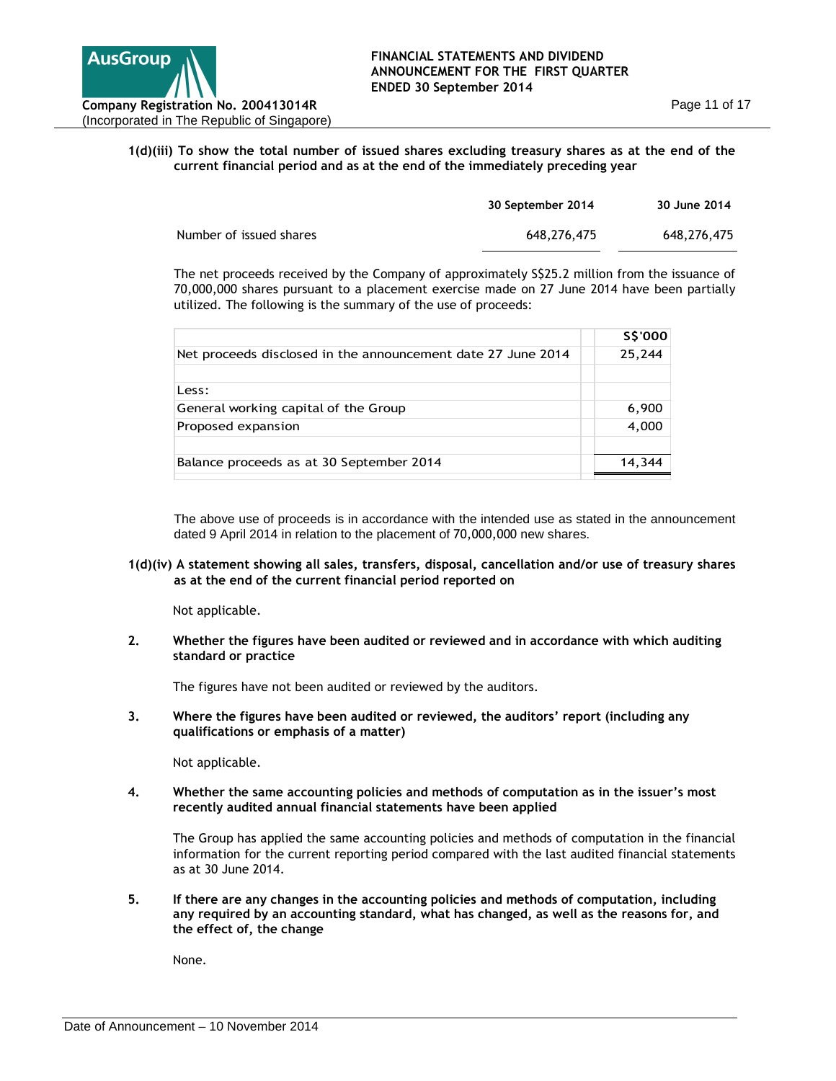

## **1(d)(iii) To show the total number of issued shares excluding treasury shares as at the end of the current financial period and as at the end of the immediately preceding year**

|                         | 30 September 2014 | 30 June 2014 |
|-------------------------|-------------------|--------------|
| Number of issued shares | 648.276.475       | 648,276,475  |
|                         |                   |              |

The net proceeds received by the Company of approximately S\$25.2 million from the issuance of 70,000,000 shares pursuant to a placement exercise made on 27 June 2014 have been partially utilized. The following is the summary of the use of proceeds:

|                                                              | <b>S\$'000</b> |
|--------------------------------------------------------------|----------------|
| Net proceeds disclosed in the announcement date 27 June 2014 | 25,244         |
|                                                              |                |
| Less:                                                        |                |
| General working capital of the Group                         | 6,900          |
| Proposed expansion                                           | 4,000          |
|                                                              |                |
| Balance proceeds as at 30 September 2014                     | 14.            |
|                                                              |                |

The above use of proceeds is in accordance with the intended use as stated in the announcement dated 9 April 2014 in relation to the placement of 70,000,000 new shares.

## **1(d)(iv) A statement showing all sales, transfers, disposal, cancellation and/or use of treasury shares as at the end of the current financial period reported on**

Not applicable.

**2. Whether the figures have been audited or reviewed and in accordance with which auditing standard or practice**

The figures have not been audited or reviewed by the auditors.

**3. Where the figures have been audited or reviewed, the auditors' report (including any qualifications or emphasis of a matter)**

Not applicable.

**4. Whether the same accounting policies and methods of computation as in the issuer's most recently audited annual financial statements have been applied**

The Group has applied the same accounting policies and methods of computation in the financial information for the current reporting period compared with the last audited financial statements as at 30 June 2014.

**5. If there are any changes in the accounting policies and methods of computation, including any required by an accounting standard, what has changed, as well as the reasons for, and the effect of, the change**

None.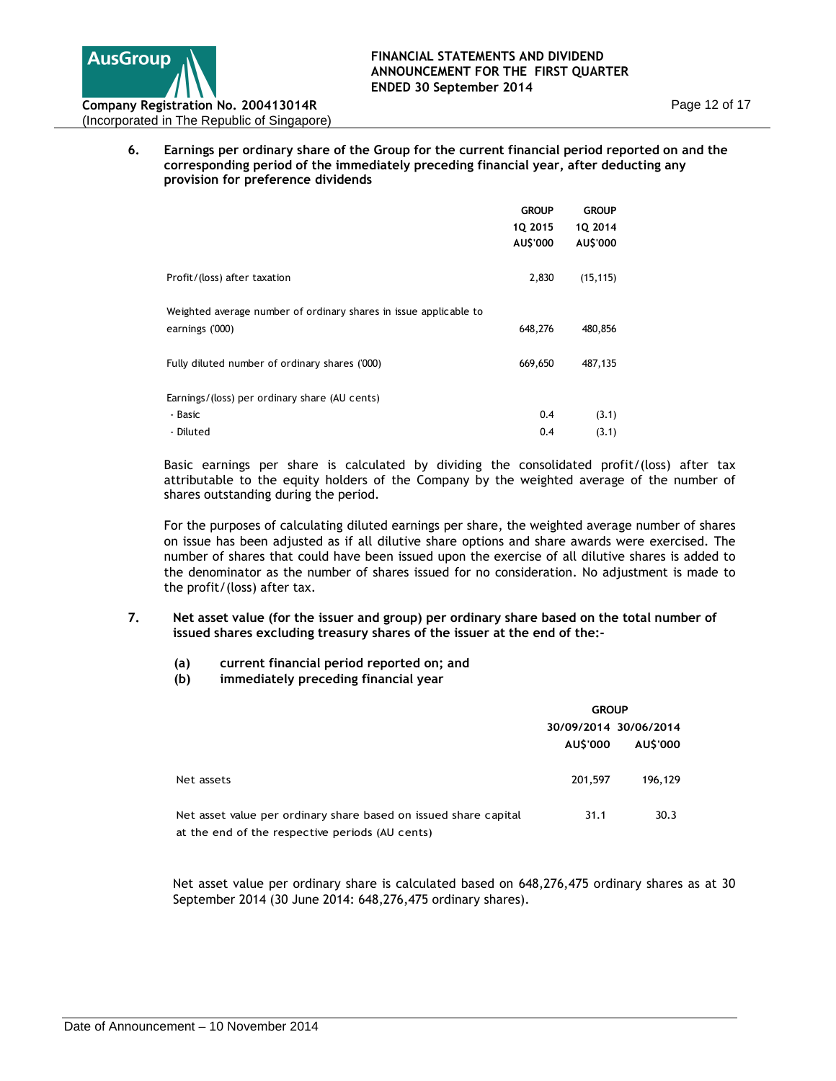

## **6. Earnings per ordinary share of the Group for the current financial period reported on and the corresponding period of the immediately preceding financial year, after deducting any provision for preference dividends**

|                                                                   | <b>GROUP</b><br>1Q 2015<br>AU\$'000 | <b>GROUP</b><br>1Q 2014<br>AU\$'000 |
|-------------------------------------------------------------------|-------------------------------------|-------------------------------------|
|                                                                   |                                     |                                     |
| Profit/(loss) after taxation                                      | 2,830                               | (15, 115)                           |
| Weighted average number of ordinary shares in issue applicable to |                                     |                                     |
| earnings ('000)                                                   | 648,276                             | 480,856                             |
| Fully diluted number of ordinary shares ('000)                    | 669,650                             | 487,135                             |
| Earnings/(loss) per ordinary share (AU cents)                     |                                     |                                     |
| - Basic                                                           | 0.4                                 | (3.1)                               |
| - Diluted                                                         | 0.4                                 | (3.1)                               |

Basic earnings per share is calculated by dividing the consolidated profit/(loss) after tax attributable to the equity holders of the Company by the weighted average of the number of shares outstanding during the period.

For the purposes of calculating diluted earnings per share, the weighted average number of shares on issue has been adjusted as if all dilutive share options and share awards were exercised. The number of shares that could have been issued upon the exercise of all dilutive shares is added to the denominator as the number of shares issued for no consideration. No adjustment is made to the profit/(loss) after tax.

#### **7. Net asset value (for the issuer and group) per ordinary share based on the total number of issued shares excluding treasury shares of the issuer at the end of the:-**

- **(a) current financial period reported on; and**
- **(b) immediately preceding financial year**

|                                                                                                                     | <b>GROUP</b> |                       |
|---------------------------------------------------------------------------------------------------------------------|--------------|-----------------------|
|                                                                                                                     |              | 30/09/2014 30/06/2014 |
|                                                                                                                     | AU\$'000     | AU\$'000              |
| Net assets                                                                                                          | 201,597      | 196.129               |
| Net asset value per ordinary share based on issued share capital<br>at the end of the respective periods (AU cents) | 31.1         | 30.3                  |

Net asset value per ordinary share is calculated based on 648,276,475 ordinary shares as at 30 September 2014 (30 June 2014: 648,276,475 ordinary shares).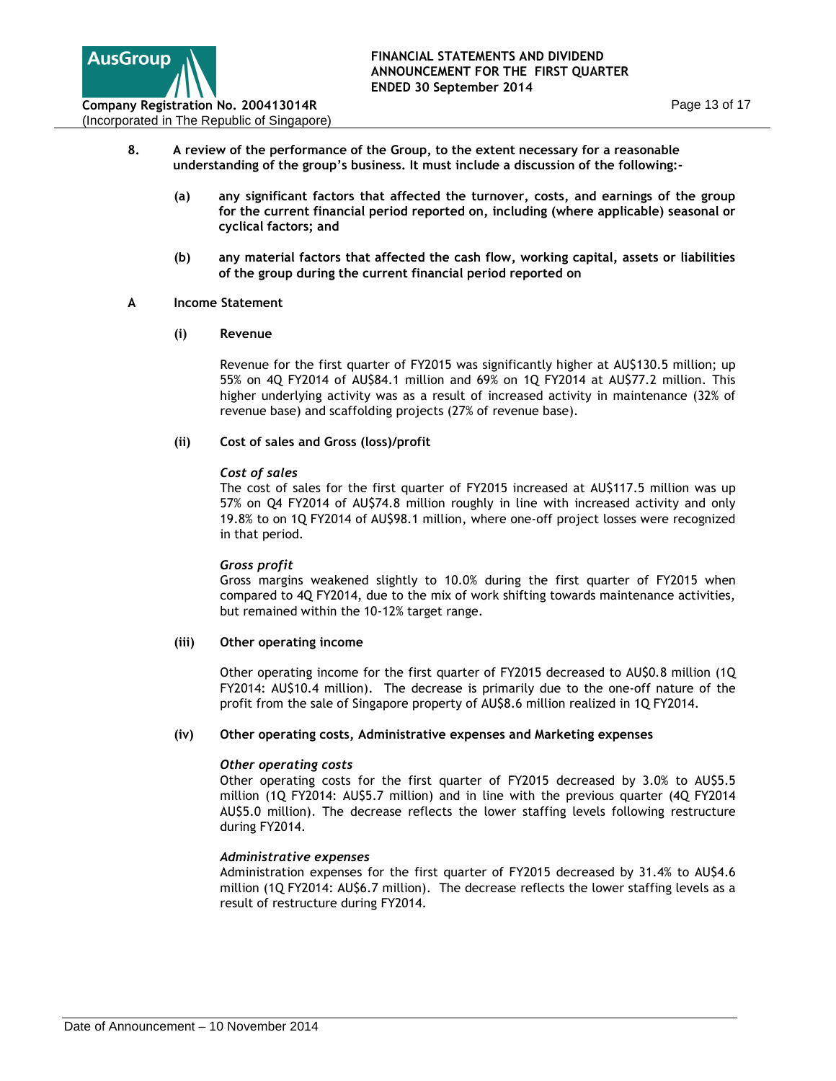

- **8. A review of the performance of the Group, to the extent necessary for a reasonable understanding of the group's business. It must include a discussion of the following:-**
	- **(a) any significant factors that affected the turnover, costs, and earnings of the group for the current financial period reported on, including (where applicable) seasonal or cyclical factors; and**
	- **(b) any material factors that affected the cash flow, working capital, assets or liabilities of the group during the current financial period reported on**

## **A Income Statement**

**(i) Revenue** 

Revenue for the first quarter of FY2015 was significantly higher at AU\$130.5 million; up 55% on 4Q FY2014 of AU\$84.1 million and 69% on 1Q FY2014 at AU\$77.2 million. This higher underlying activity was as a result of increased activity in maintenance (32% of revenue base) and scaffolding projects (27% of revenue base).

## **(ii) Cost of sales and Gross (loss)/profit**

#### *Cost of sales*

The cost of sales for the first quarter of FY2015 increased at AU\$117.5 million was up 57% on Q4 FY2014 of AU\$74.8 million roughly in line with increased activity and only 19.8% to on 1Q FY2014 of AU\$98.1 million, where one-off project losses were recognized in that period.

#### *Gross profit*

Gross margins weakened slightly to 10.0% during the first quarter of FY2015 when compared to 4Q FY2014, due to the mix of work shifting towards maintenance activities, but remained within the 10-12% target range.

#### **(iii) Other operating income**

Other operating income for the first quarter of FY2015 decreased to AU\$0.8 million (1Q FY2014: AU\$10.4 million). The decrease is primarily due to the one-off nature of the profit from the sale of Singapore property of AU\$8.6 million realized in 1Q FY2014.

#### **(iv) Other operating costs, Administrative expenses and Marketing expenses**

#### *Other operating costs*

Other operating costs for the first quarter of FY2015 decreased by 3.0% to AU\$5.5 million (1Q FY2014: AU\$5.7 million) and in line with the previous quarter (4Q FY2014 AU\$5.0 million). The decrease reflects the lower staffing levels following restructure during FY2014.

#### *Administrative expenses*

Administration expenses for the first quarter of FY2015 decreased by 31.4% to AU\$4.6 million (1Q FY2014: AU\$6.7 million). The decrease reflects the lower staffing levels as a result of restructure during FY2014.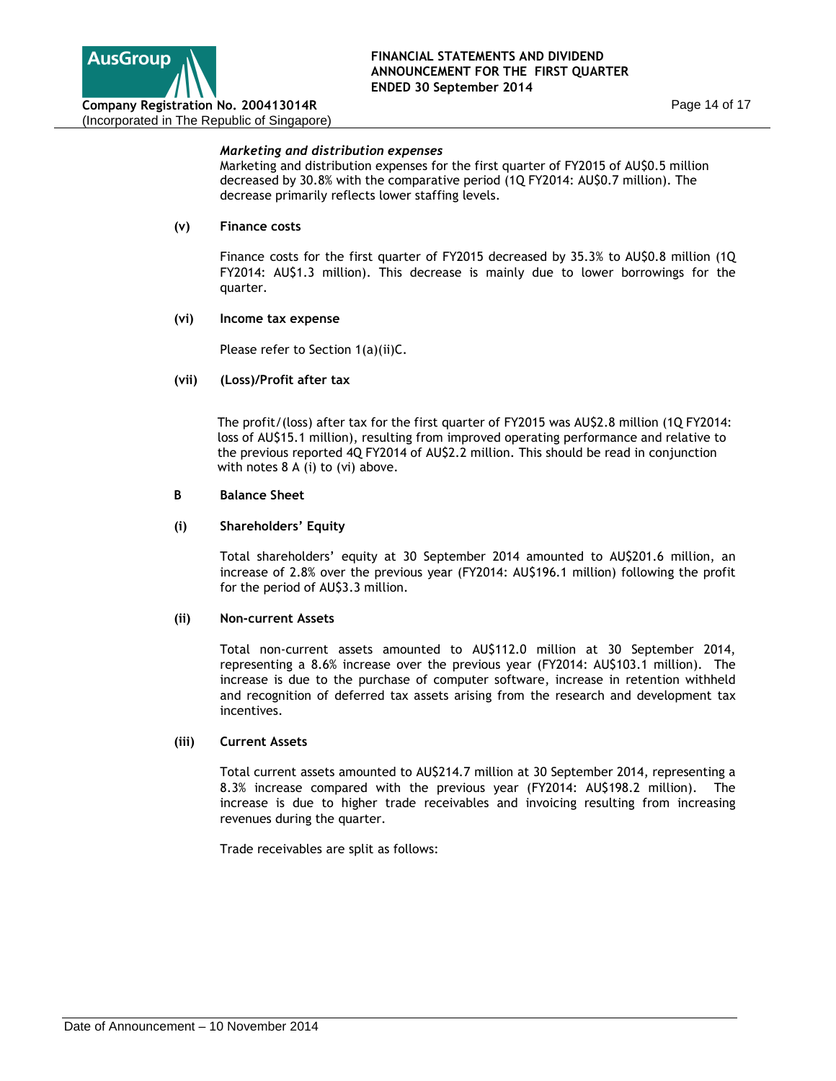

## *Marketing and distribution expenses*

Marketing and distribution expenses for the first quarter of FY2015 of AU\$0.5 million decreased by 30.8% with the comparative period (1Q FY2014: AU\$0.7 million). The decrease primarily reflects lower staffing levels.

### **(v) Finance costs**

Finance costs for the first quarter of FY2015 decreased by 35.3% to AU\$0.8 million (1Q FY2014: AU\$1.3 million). This decrease is mainly due to lower borrowings for the quarter.

#### **(vi) Income tax expense**

Please refer to Section 1(a)(ii)C.

## **(vii) (Loss)/Profit after tax**

The profit/(loss) after tax for the first quarter of FY2015 was AU\$2.8 million (1Q FY2014: loss of AU\$15.1 million), resulting from improved operating performance and relative to the previous reported 4Q FY2014 of AU\$2.2 million. This should be read in conjunction with notes 8 A (i) to (vi) above.

## **B Balance Sheet**

## **(i) Shareholders' Equity**

Total shareholders' equity at 30 September 2014 amounted to AU\$201.6 million, an increase of 2.8% over the previous year (FY2014: AU\$196.1 million) following the profit for the period of AU\$3.3 million.

#### **(ii) Non-current Assets**

Total non-current assets amounted to AU\$112.0 million at 30 September 2014, representing a 8.6% increase over the previous year (FY2014: AU\$103.1 million). The increase is due to the purchase of computer software, increase in retention withheld and recognition of deferred tax assets arising from the research and development tax incentives.

#### **(iii) Current Assets**

Total current assets amounted to AU\$214.7 million at 30 September 2014, representing a 8.3% increase compared with the previous year (FY2014: AU\$198.2 million). The increase is due to higher trade receivables and invoicing resulting from increasing revenues during the quarter.

Trade receivables are split as follows: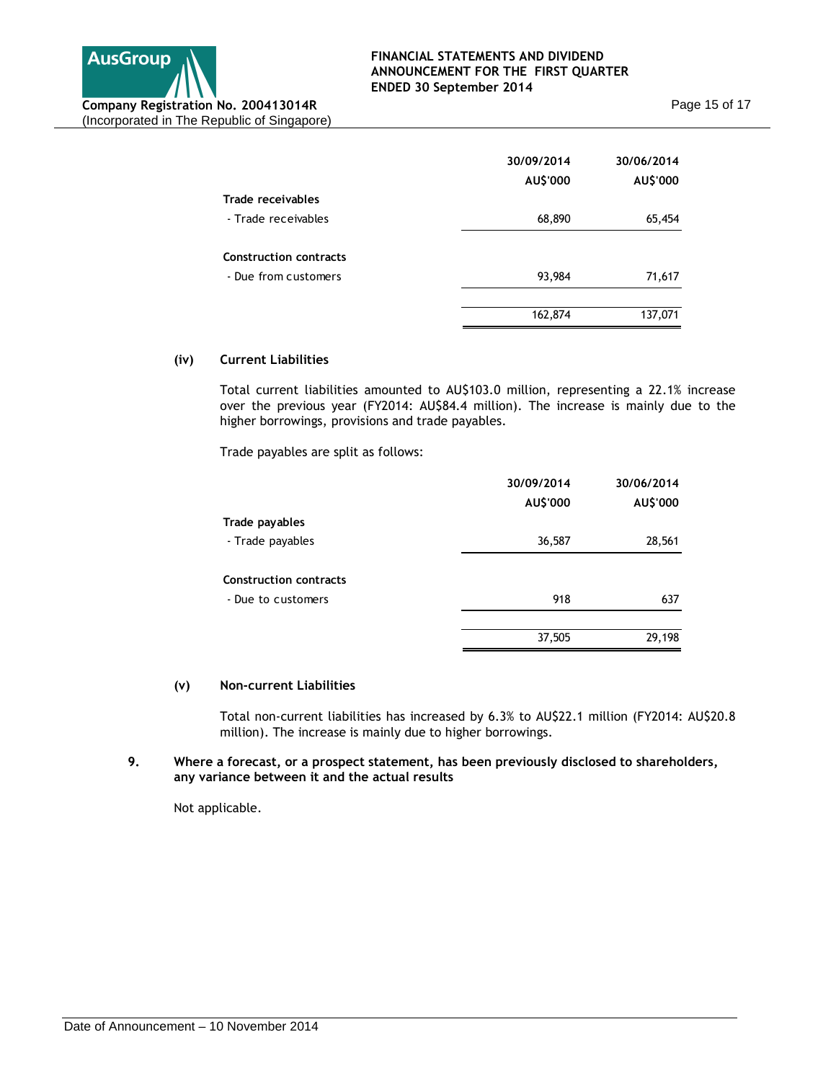

|                               | 30/09/2014<br>AU\$'000 | 30/06/2014<br>AU\$'000 |
|-------------------------------|------------------------|------------------------|
| Trade receivables             |                        |                        |
| - Trade receivables           | 68,890                 | 65,454                 |
| <b>Construction contracts</b> |                        |                        |
| - Due from customers          | 93,984                 | 71,617                 |
|                               |                        |                        |
|                               | 162,874                | 137,071                |

# **(iv) Current Liabilities**

Total current liabilities amounted to AU\$103.0 million, representing a 22.1% increase over the previous year (FY2014: AU\$84.4 million). The increase is mainly due to the higher borrowings, provisions and trade payables.

Trade payables are split as follows:

|                               | 30/09/2014 | 30/06/2014 |
|-------------------------------|------------|------------|
|                               | AU\$'000   | AU\$'000   |
| Trade payables                |            |            |
| - Trade payables              | 36,587     | 28,561     |
| <b>Construction contracts</b> |            |            |
| - Due to customers            | 918        | 637        |
|                               |            |            |
|                               | 37,505     | 29,198     |

## **(v) Non-current Liabilities**

Total non-current liabilities has increased by 6.3% to AU\$22.1 million (FY2014: AU\$20.8 million). The increase is mainly due to higher borrowings.

## **9. Where a forecast, or a prospect statement, has been previously disclosed to shareholders, any variance between it and the actual results**

Not applicable.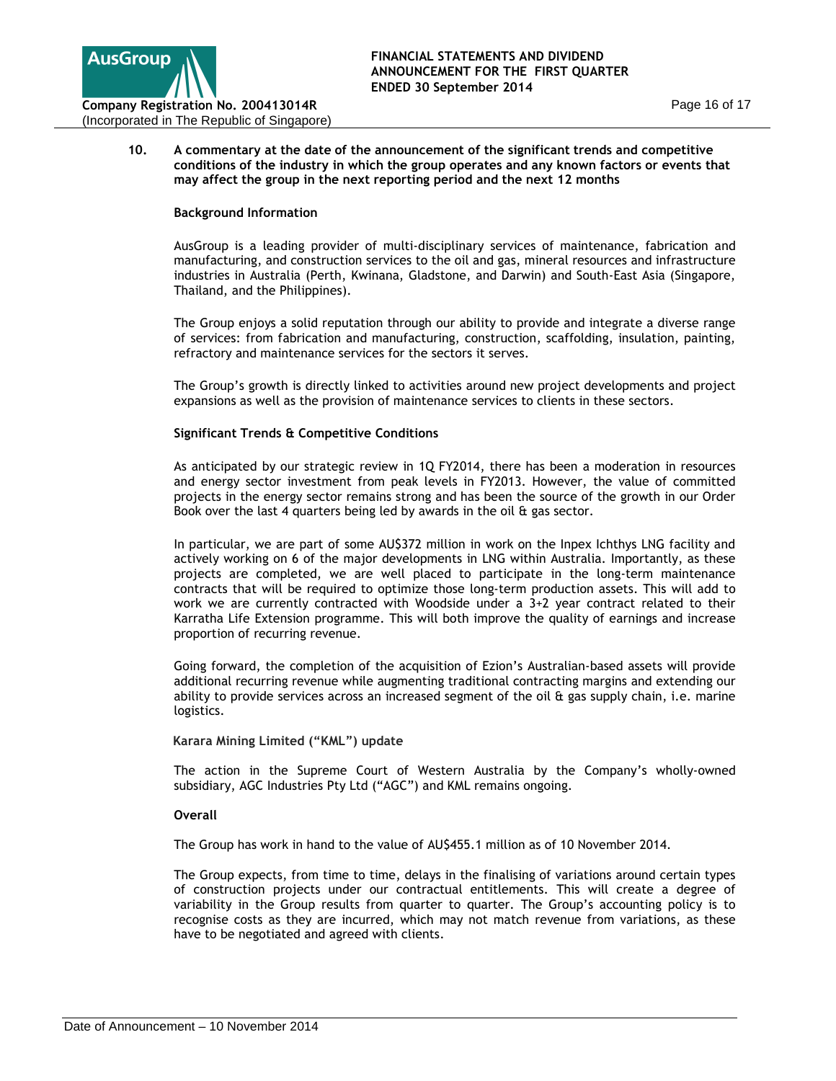

## **10. A commentary at the date of the announcement of the significant trends and competitive conditions of the industry in which the group operates and any known factors or events that may affect the group in the next reporting period and the next 12 months**

### **Background Information**

AusGroup is a leading provider of multi-disciplinary services of maintenance, fabrication and manufacturing, and construction services to the oil and gas, mineral resources and infrastructure industries in Australia (Perth, Kwinana, Gladstone, and Darwin) and South-East Asia (Singapore, Thailand, and the Philippines).

The Group enjoys a solid reputation through our ability to provide and integrate a diverse range of services: from fabrication and manufacturing, construction, scaffolding, insulation, painting, refractory and maintenance services for the sectors it serves.

The Group's growth is directly linked to activities around new project developments and project expansions as well as the provision of maintenance services to clients in these sectors.

## **Significant Trends & Competitive Conditions**

As anticipated by our strategic review in 1Q FY2014, there has been a moderation in resources and energy sector investment from peak levels in FY2013. However, the value of committed projects in the energy sector remains strong and has been the source of the growth in our Order Book over the last 4 quarters being led by awards in the oil  $\theta$  gas sector.

In particular, we are part of some AU\$372 million in work on the Inpex Ichthys LNG facility and actively working on 6 of the major developments in LNG within Australia. Importantly, as these projects are completed, we are well placed to participate in the long-term maintenance contracts that will be required to optimize those long-term production assets. This will add to work we are currently contracted with Woodside under a 3+2 year contract related to their Karratha Life Extension programme. This will both improve the quality of earnings and increase proportion of recurring revenue.

Going forward, the completion of the acquisition of Ezion's Australian-based assets will provide additional recurring revenue while augmenting traditional contracting margins and extending our ability to provide services across an increased segment of the oil & gas supply chain, i.e. marine logistics.

#### **Karara Mining Limited ("KML") update**

The action in the Supreme Court of Western Australia by the Company's wholly-owned subsidiary, AGC Industries Pty Ltd ("AGC") and KML remains ongoing.

#### **Overall**

The Group has work in hand to the value of AU\$455.1 million as of 10 November 2014.

The Group expects, from time to time, delays in the finalising of variations around certain types of construction projects under our contractual entitlements. This will create a degree of variability in the Group results from quarter to quarter. The Group's accounting policy is to recognise costs as they are incurred, which may not match revenue from variations, as these have to be negotiated and agreed with clients.